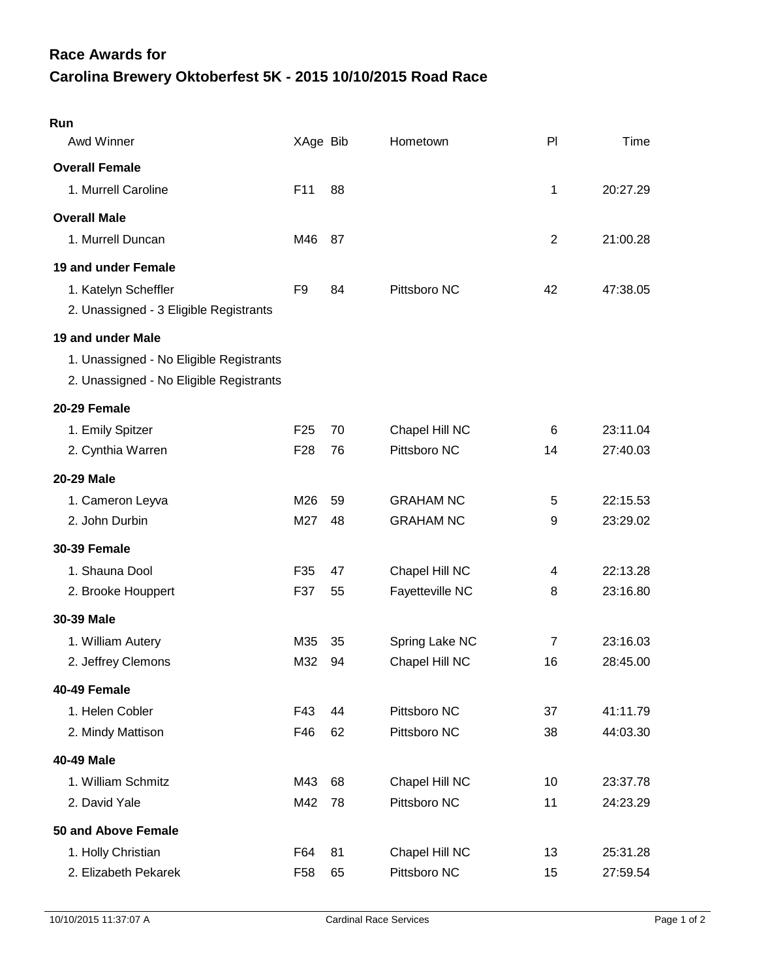## **Carolina Brewery Oktoberfest 5K - 2015 10/10/2015 Road Race Race Awards for**

| Run<br>Awd Winner                       | XAge Bib        |    | Hometown         | PI             | Time     |
|-----------------------------------------|-----------------|----|------------------|----------------|----------|
| <b>Overall Female</b>                   |                 |    |                  |                |          |
| 1. Murrell Caroline                     | F <sub>11</sub> | 88 |                  | 1              | 20:27.29 |
| <b>Overall Male</b>                     |                 |    |                  |                |          |
| 1. Murrell Duncan                       | M46             | 87 |                  | $\overline{2}$ | 21:00.28 |
| 19 and under Female                     |                 |    |                  |                |          |
| 1. Katelyn Scheffler                    | F9              | 84 | Pittsboro NC     | 42             | 47:38.05 |
| 2. Unassigned - 3 Eligible Registrants  |                 |    |                  |                |          |
| 19 and under Male                       |                 |    |                  |                |          |
| 1. Unassigned - No Eligible Registrants |                 |    |                  |                |          |
| 2. Unassigned - No Eligible Registrants |                 |    |                  |                |          |
| 20-29 Female                            |                 |    |                  |                |          |
| 1. Emily Spitzer                        | F <sub>25</sub> | 70 | Chapel Hill NC   | 6              | 23:11.04 |
| 2. Cynthia Warren                       | F <sub>28</sub> | 76 | Pittsboro NC     | 14             | 27:40.03 |
| <b>20-29 Male</b>                       |                 |    |                  |                |          |
| 1. Cameron Leyva                        | M26             | 59 | <b>GRAHAM NC</b> | 5              | 22:15.53 |
| 2. John Durbin                          | M27             | 48 | <b>GRAHAM NC</b> | 9              | 23:29.02 |
| <b>30-39 Female</b>                     |                 |    |                  |                |          |
| 1. Shauna Dool                          | F35             | 47 | Chapel Hill NC   | 4              | 22:13.28 |
| 2. Brooke Houppert                      | F37             | 55 | Fayetteville NC  | 8              | 23:16.80 |
| 30-39 Male                              |                 |    |                  |                |          |
| 1. William Autery                       | M35             | 35 | Spring Lake NC   | 7              | 23:16.03 |
| 2. Jeffrey Clemons                      | M32             | 94 | Chapel Hill NC   | 16             | 28:45.00 |
| 40-49 Female                            |                 |    |                  |                |          |
| 1. Helen Cobler                         | F43             | 44 | Pittsboro NC     | 37             | 41:11.79 |
| 2. Mindy Mattison                       | F46             | 62 | Pittsboro NC     | 38             | 44:03.30 |
| 40-49 Male                              |                 |    |                  |                |          |
| 1. William Schmitz                      | M43             | 68 | Chapel Hill NC   | 10             | 23:37.78 |
| 2. David Yale                           | M42             | 78 | Pittsboro NC     | 11             | 24:23.29 |
| 50 and Above Female                     |                 |    |                  |                |          |
| 1. Holly Christian                      | F64             | 81 | Chapel Hill NC   | 13             | 25:31.28 |
| 2. Elizabeth Pekarek                    | F58             | 65 | Pittsboro NC     | 15             | 27:59.54 |